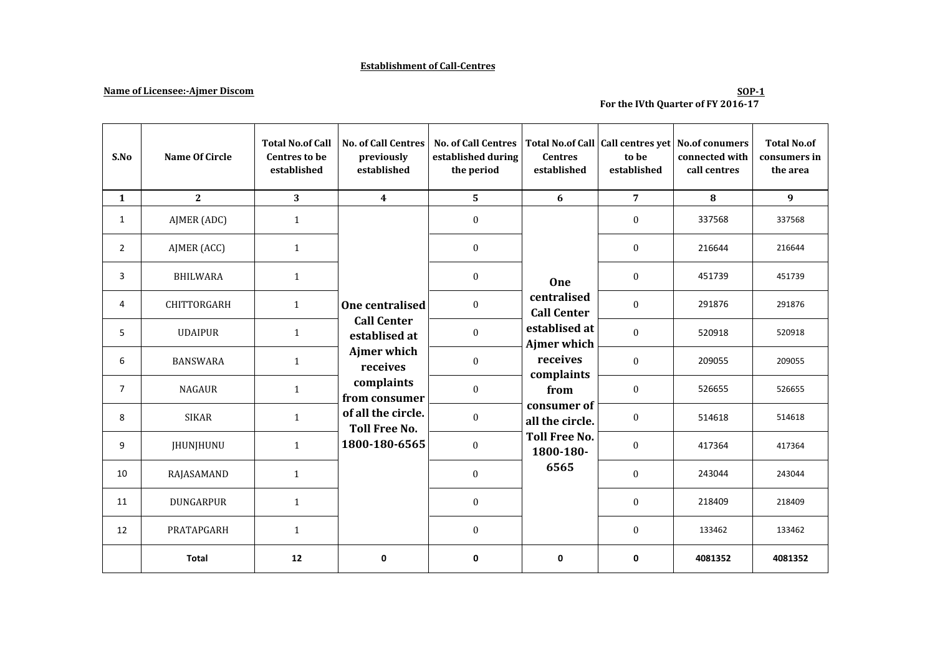### **Establishment of Call-Centres**

### **Name of Licensee:-Ajmer Discom**

#### **SOP-1 For the IVth Quarter of FY 2016-17**

| S.No           | Name Of Circle     | <b>Total No.of Call</b><br><b>Centres to be</b><br>established | <b>No. of Call Centres</b><br>previously<br>established                           | <b>No. of Call Centres</b><br>established during<br>the period | <b>Centres</b><br>established                                                                              | to be<br>established | Total No.of Call   Call centres yet   No.of conumers<br>connected with<br>call centres | <b>Total No.of</b><br>consumers in<br>the area |
|----------------|--------------------|----------------------------------------------------------------|-----------------------------------------------------------------------------------|----------------------------------------------------------------|------------------------------------------------------------------------------------------------------------|----------------------|----------------------------------------------------------------------------------------|------------------------------------------------|
| $\mathbf{1}$   | $\mathbf{2}$       | 3 <sup>1</sup>                                                 | $\overline{\mathbf{4}}$                                                           | $\overline{5}$                                                 | 6                                                                                                          | $\overline{7}$       | 8                                                                                      | 9                                              |
| 1              | AJMER (ADC)        | $\mathbf{1}$                                                   |                                                                                   | $\boldsymbol{0}$                                               |                                                                                                            | $\boldsymbol{0}$     | 337568                                                                                 | 337568                                         |
| $\overline{2}$ | AJMER (ACC)        | $\mathbf{1}$                                                   |                                                                                   | $\boldsymbol{0}$                                               |                                                                                                            | $\boldsymbol{0}$     | 216644                                                                                 | 216644                                         |
| 3              | <b>BHILWARA</b>    | $\mathbf{1}$                                                   |                                                                                   | $\boldsymbol{0}$                                               | One<br>centralised<br><b>Call Center</b><br>establised at<br>Ajmer which<br>receives<br>complaints<br>from | $\boldsymbol{0}$     | 451739                                                                                 | 451739                                         |
| 4              | <b>CHITTORGARH</b> | $\mathbf{1}$                                                   | One centralised<br><b>Call Center</b><br>establised at<br>Ajmer which<br>receives | $\boldsymbol{0}$                                               |                                                                                                            | $\boldsymbol{0}$     | 291876                                                                                 | 291876                                         |
| 5              | <b>UDAIPUR</b>     | $\mathbf{1}$                                                   |                                                                                   | $\boldsymbol{0}$                                               |                                                                                                            | $\boldsymbol{0}$     | 520918                                                                                 | 520918                                         |
| 6              | <b>BANSWARA</b>    | $\mathbf{1}$                                                   |                                                                                   | $\boldsymbol{0}$                                               |                                                                                                            | $\boldsymbol{0}$     | 209055                                                                                 | 209055                                         |
| $\overline{7}$ | <b>NAGAUR</b>      | $\mathbf{1}$                                                   | complaints<br>from consumer                                                       | $\boldsymbol{0}$                                               |                                                                                                            | $\boldsymbol{0}$     | 526655                                                                                 | 526655                                         |
| 8              | <b>SIKAR</b>       | $\mathbf{1}$                                                   | of all the circle.<br><b>Toll Free No.</b>                                        | $\boldsymbol{0}$                                               | consumer of<br>all the circle.                                                                             | $\boldsymbol{0}$     | 514618                                                                                 | 514618                                         |
| 9              | <b>JHUNJHUNU</b>   | $\mathbf{1}$                                                   | 1800-180-6565                                                                     | $\boldsymbol{0}$                                               | <b>Toll Free No.</b><br>1800-180-                                                                          | $\boldsymbol{0}$     | 417364                                                                                 | 417364                                         |
| 10             | RAJASAMAND         | $\mathbf{1}$                                                   |                                                                                   | $\boldsymbol{0}$                                               | 6565                                                                                                       | $\boldsymbol{0}$     | 243044                                                                                 | 243044                                         |
| 11             | DUNGARPUR          | $\mathbf{1}$                                                   |                                                                                   | $\bf{0}$                                                       |                                                                                                            | $\boldsymbol{0}$     | 218409                                                                                 | 218409                                         |
| 12             | PRATAPGARH         | $\mathbf{1}$                                                   |                                                                                   | $\boldsymbol{0}$                                               |                                                                                                            | $\boldsymbol{0}$     | 133462                                                                                 | 133462                                         |
|                | <b>Total</b>       | 12                                                             | 0                                                                                 | $\mathbf 0$                                                    | 0                                                                                                          | 0                    | 4081352                                                                                | 4081352                                        |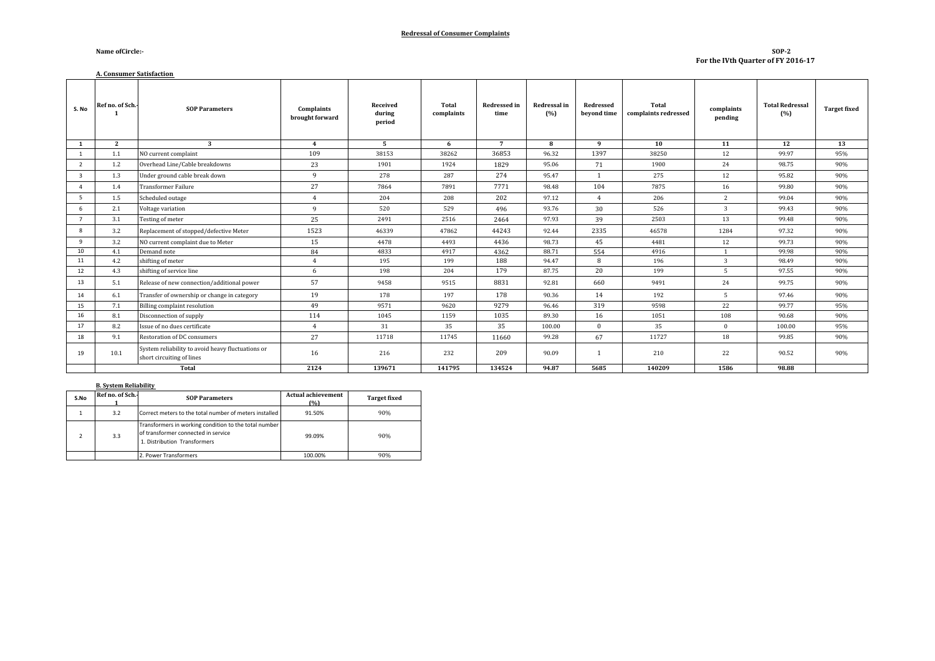#### **Redressal of Consumer Complaints**

#### **Name ofCircle:-**

#### **A. Consumer Satisfaction**

#### **SOP-2 For the IVth Quarter of FY 2016-17**

| S. No          | Ref no. of Sch. | <b>SOP Parameters</b>                                                          | Complaints<br>brought forward | Received<br>during<br>period | Total<br>complaints | Redressed in<br>time | Redressal in<br>(%) | Redressed<br>beyond time | Total<br>complaints redressed | complaints<br>pending | <b>Total Redressal</b><br>(%) | <b>Target fixed</b> |
|----------------|-----------------|--------------------------------------------------------------------------------|-------------------------------|------------------------------|---------------------|----------------------|---------------------|--------------------------|-------------------------------|-----------------------|-------------------------------|---------------------|
| 1              | $\mathbf{2}$    | $\mathbf{3}$                                                                   | $\overline{4}$                | $5^{\circ}$                  | 6                   | $\overline{7}$       | 8                   | 9                        | 10                            | 11                    | 12                            | 13                  |
| $\mathbf{1}$   | 1.1             | NO current complaint                                                           | 109                           | 38153                        | 38262               | 36853                | 96.32               | 1397                     | 38250                         | 12                    | 99.97                         | 95%                 |
| 2              | 1.2             | Overhead Line/Cable breakdowns                                                 | 23                            | 1901                         | 1924                | 1829                 | 95.06               | 71                       | 1900                          | 24                    | 98.75                         | 90%                 |
| $\overline{3}$ | 1.3             | Under ground cable break down                                                  | -9                            | 278                          | 287                 | 274                  | 95.47               | $\overline{1}$           | 275                           | 12                    | 95.82                         | 90%                 |
| $\overline{a}$ | 1.4             | <b>Transformer Failure</b>                                                     | 27                            | 7864                         | 7891                | 7771                 | 98.48               | 104                      | 7875                          | 16                    | 99.80                         | 90%                 |
| 5              | 1.5             | Scheduled outage                                                               | $\overline{4}$                | 204                          | 208                 | 202                  | 97.12               | $\overline{4}$           | 206                           | 2                     | 99.04                         | 90%                 |
| 6              | 2.1             | Voltage variation                                                              | -9                            | 520                          | 529                 | 496                  | 93.76               | 30                       | 526                           | $\overline{3}$        | 99.43                         | 90%                 |
| $\overline{7}$ | 3.1             | Testing of meter                                                               | 25                            | 2491                         | 2516                | 2464                 | 97.93               | 39                       | 2503                          | 13                    | 99.48                         | 90%                 |
| 8              | 3.2             | Replacement of stopped/defective Meter                                         | 1523                          | 46339                        | 47862               | 44243                | 92.44               | 2335                     | 46578                         | 1284                  | 97.32                         | 90%                 |
| 9              | 3.2             | NO current complaint due to Meter                                              | 15                            | 4478                         | 4493                | 4436                 | 98.73               | 45                       | 4481                          | 12                    | 99.73                         | 90%                 |
| 10             | 4.1             | Demand note                                                                    | 84                            | 4833                         | 4917                | 4362                 | 88.71               | 554                      | 4916                          |                       | 99.98                         | 90%                 |
| 11             | 4.2             | shifting of meter                                                              | $\overline{4}$                | 195                          | 199                 | 188                  | 94.47               | 8                        | 196                           | 3                     | 98.49                         | 90%                 |
| 12             | 4.3             | shifting of service line                                                       | 6                             | 198                          | 204                 | 179                  | 87.75               | 20                       | 199                           | 5                     | 97.55                         | 90%                 |
| 13             | 5.1             | Release of new connection/additional power                                     | 57                            | 9458                         | 9515                | 8831                 | 92.81               | 660                      | 9491                          | 24                    | 99.75                         | 90%                 |
| 14             | 6.1             | Transfer of ownership or change in category                                    | 19                            | 178                          | 197                 | 178                  | 90.36               | 14                       | 192                           | $5^{\circ}$           | 97.46                         | 90%                 |
| 15             | 7.1             | <b>Billing complaint resolution</b>                                            | 49                            | 9571                         | 9620                | 9279                 | 96.46               | 319                      | 9598                          | 22                    | 99.77                         | 95%                 |
| 16             | 8.1             | Disconnection of supply                                                        | 114                           | 1045                         | 1159                | 1035                 | 89.30               | 16                       | 1051                          | 108                   | 90.68                         | 90%                 |
| 17             | 8.2             | Issue of no dues certificate                                                   | $\overline{4}$                | 31                           | 35                  | 35                   | 100.00              | $\mathbf{0}$             | 35                            | $\mathbf{0}$          | 100.00                        | 95%                 |
| 18             | 9.1             | Restoration of DC consumers                                                    | 27                            | 11718                        | 11745               | 11660                | 99.28               | 67                       | 11727                         | 18                    | 99.85                         | 90%                 |
| 19             | 10.1            | System reliability to avoid heavy fluctuations or<br>short circuiting of lines | 16                            | 216                          | 232                 | 209                  | 90.09               |                          | 210                           | 22                    | 90.52                         | 90%                 |
|                |                 | Total                                                                          | 2124                          | 139671                       | 141795              | 134524               | 94.87               | 5685                     | 140209                        | 1586                  | 98.88                         |                     |

#### **B. System Reliability**

| S.No | Ref no. of Sch.- | <b>SOP Parameters</b>                                                                                                        | Actual achievement<br>(%) | <b>Target fixed</b> |
|------|------------------|------------------------------------------------------------------------------------------------------------------------------|---------------------------|---------------------|
|      | 3.2              | Correct meters to the total number of meters installed                                                                       | 91.50%                    | 90%                 |
|      | 3.3              | Transformers in working condition to the total number<br>of transformer connected in service<br>1. Distribution Transformers | 99.09%                    | 90%                 |
|      |                  | 2. Power Transformers                                                                                                        | 100.00%                   | 90%                 |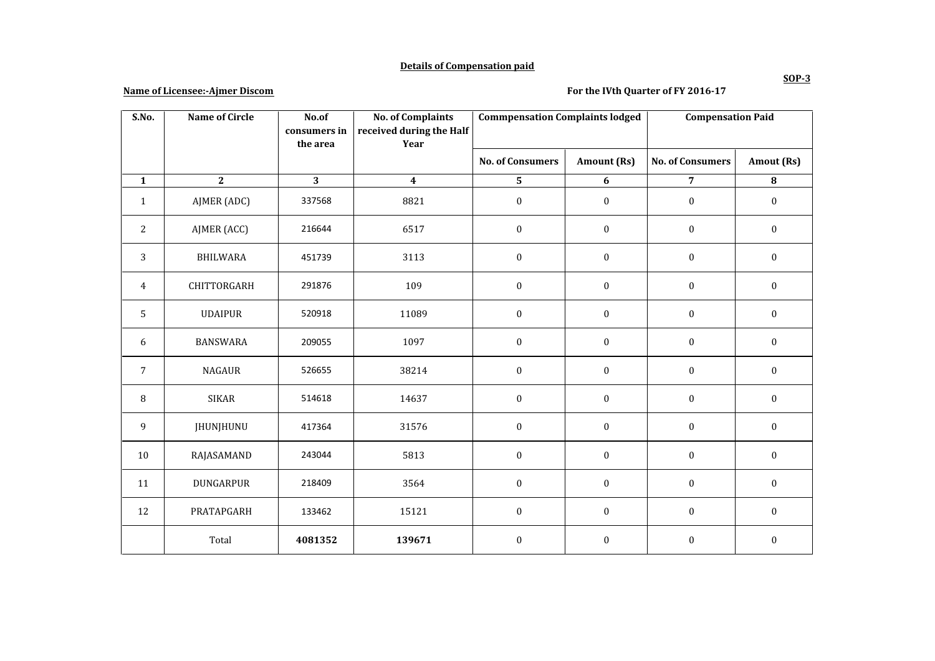## **Details of Compensation paid**

### **Name of Licensee:-Ajmer Discom**

## **For the IVth Quarter of FY 2016-17**

| S.No.          | <b>Name of Circle</b> | No.of<br>consumers in | <b>No. of Complaints</b><br>received during the Half | <b>Commpensation Complaints lodged</b> |                  | <b>Compensation Paid</b> |                  |
|----------------|-----------------------|-----------------------|------------------------------------------------------|----------------------------------------|------------------|--------------------------|------------------|
|                |                       | the area              | Year                                                 |                                        |                  |                          |                  |
|                |                       |                       |                                                      | <b>No. of Consumers</b>                | Amount (Rs)      | <b>No. of Consumers</b>  | Amout (Rs)       |
| $\mathbf{1}$   | $\overline{2}$        | 3                     | $\boldsymbol{4}$                                     | 5                                      | $\boldsymbol{6}$ | $\overline{7}$           | ${\bf 8}$        |
| $\mathbf{1}$   | AJMER (ADC)           | 337568                | 8821                                                 | $\boldsymbol{0}$                       | $\boldsymbol{0}$ | $\boldsymbol{0}$         | $\boldsymbol{0}$ |
| $\overline{c}$ | AJMER (ACC)           | 216644                | 6517                                                 | $\boldsymbol{0}$                       | $\boldsymbol{0}$ | $\boldsymbol{0}$         | $\boldsymbol{0}$ |
| 3              | <b>BHILWARA</b>       | 451739                | 3113                                                 | $\boldsymbol{0}$                       | $\boldsymbol{0}$ | $\boldsymbol{0}$         | $\boldsymbol{0}$ |
| 4              | CHITTORGARH           | 291876                | 109                                                  | $\boldsymbol{0}$                       | $\boldsymbol{0}$ | $\boldsymbol{0}$         | $\boldsymbol{0}$ |
| 5              | <b>UDAIPUR</b>        | 520918                | 11089                                                | $\boldsymbol{0}$                       | $\boldsymbol{0}$ | $\boldsymbol{0}$         | $\boldsymbol{0}$ |
| 6              | <b>BANSWARA</b>       | 209055                | 1097                                                 | $\boldsymbol{0}$                       | $\boldsymbol{0}$ | $\boldsymbol{0}$         | $\mathbf{0}$     |
| $\sqrt{ }$     | <b>NAGAUR</b>         | 526655                | 38214                                                | $\boldsymbol{0}$                       | $\boldsymbol{0}$ | $\boldsymbol{0}$         | $\boldsymbol{0}$ |
| $\, 8$         | <b>SIKAR</b>          | 514618                | 14637                                                | $\boldsymbol{0}$                       | $\boldsymbol{0}$ | $\boldsymbol{0}$         | $\boldsymbol{0}$ |
| 9              | JHUNJHUNU             | 417364                | 31576                                                | $\boldsymbol{0}$                       | $\boldsymbol{0}$ | $\boldsymbol{0}$         | $\boldsymbol{0}$ |
| $10\,$         | RAJASAMAND            | 243044                | 5813                                                 | $\boldsymbol{0}$                       | $\boldsymbol{0}$ | $\boldsymbol{0}$         | $\boldsymbol{0}$ |
| 11             | DUNGARPUR             | 218409                | 3564                                                 | $\boldsymbol{0}$                       | $\boldsymbol{0}$ | $\boldsymbol{0}$         | $\boldsymbol{0}$ |
| 12             | PRATAPGARH            | 133462                | 15121                                                | $\boldsymbol{0}$                       | $\boldsymbol{0}$ | $\boldsymbol{0}$         | $\boldsymbol{0}$ |
|                | Total                 | 4081352               | 139671                                               | $\boldsymbol{0}$                       | $\boldsymbol{0}$ | $\mathbf{0}$             | $\mathbf{0}$     |

**SOP-3**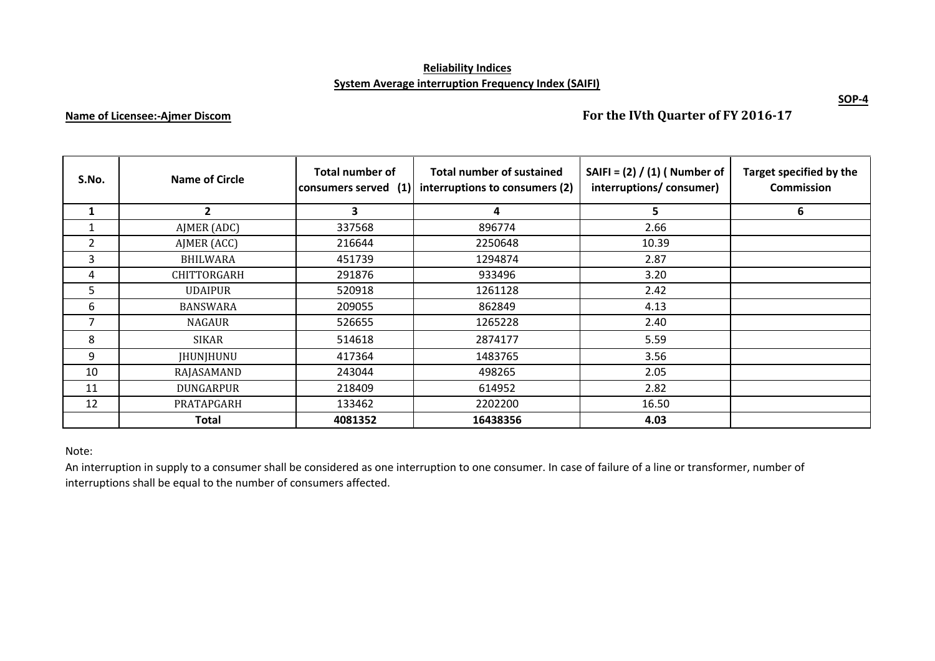## **Reliability Indices System Average interruption Frequency Index (SAIFI)**

# **Name of Licensee:-Ajmer Discom**

**For the IVth Quarter of FY 2016-17**

| S.No. | <b>Name of Circle</b> | <b>Total number of</b><br>consumers served (1) | <b>Total number of sustained</b><br>interruptions to consumers (2) | SAIFI = $(2) / (1)$ ( Number of<br>interruptions/consumer) | Target specified by the<br><b>Commission</b> |
|-------|-----------------------|------------------------------------------------|--------------------------------------------------------------------|------------------------------------------------------------|----------------------------------------------|
|       | $\overline{2}$        | 3                                              | 4                                                                  | 5                                                          | 6                                            |
|       | AJMER (ADC)           | 337568                                         | 896774                                                             | 2.66                                                       |                                              |
| 2     | AJMER (ACC)           | 216644                                         | 2250648                                                            | 10.39                                                      |                                              |
| 3     | <b>BHILWARA</b>       | 451739                                         | 1294874                                                            | 2.87                                                       |                                              |
| 4     | CHITTORGARH           | 291876                                         | 933496                                                             | 3.20                                                       |                                              |
| 5     | <b>UDAIPUR</b>        | 520918                                         | 1261128                                                            | 2.42                                                       |                                              |
| 6     | <b>BANSWARA</b>       | 209055                                         | 862849                                                             | 4.13                                                       |                                              |
| 7     | NAGAUR                | 526655                                         | 1265228                                                            | 2.40                                                       |                                              |
| 8     | <b>SIKAR</b>          | 514618                                         | 2874177                                                            | 5.59                                                       |                                              |
| 9     | <b>JHUNJHUNU</b>      | 417364                                         | 1483765                                                            | 3.56                                                       |                                              |
| 10    | RAJASAMAND            | 243044                                         | 498265                                                             | 2.05                                                       |                                              |
| 11    | DUNGARPUR             | 218409                                         | 614952                                                             | 2.82                                                       |                                              |
| 12    | PRATAPGARH            | 133462                                         | 2202200                                                            | 16.50                                                      |                                              |
|       | <b>Total</b>          | 4081352                                        | 16438356                                                           | 4.03                                                       |                                              |

#### Note:

An interruption in supply to a consumer shall be considered as one interruption to one consumer. In case of failure of a line or transformer, number of interruptions shall be equal to the number of consumers affected.

**SOP-4**